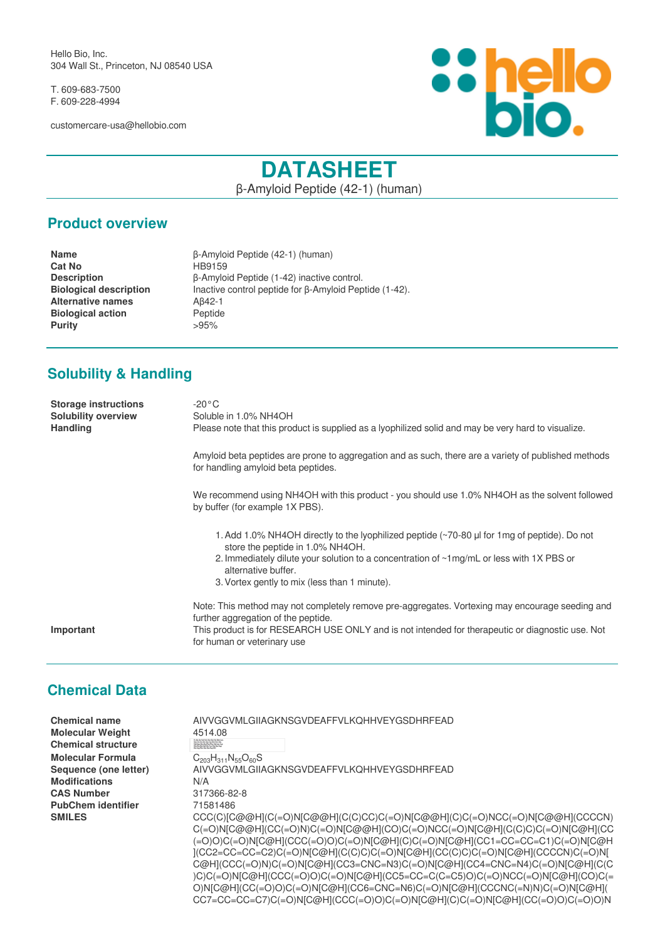Hello Bio, Inc. 304 Wall St., Princeton, NJ 08540 USA

T. 609-683-7500 F. 609-228-4994

customercare-usa@hellobio.com



# **DATASHEET**

β-Amyloid Peptide (42-1) (human)

#### **Product overview**

**Name** β-Amyloid Peptide (42-1) (human) **Cat No** HB9159 **Description** β-Amyloid Peptide (1-42) inactive control.<br> **Biological description** lnactive control peptide for β-Amyloid Pep **Biological description** Inactive control peptide for β-Amyloid Peptide (1-42). **Alternative names** Aβ42-1 **Biological action** Peptide **Purity** >95%

## **Solubility & Handling**

**Storage instructions** -20°C **Solubility overview** Soluble in 1.0% NH4OH Handling Please note that this product is supplied as a lyophilized solid and may be very hard to visualize. Amyloid beta peptides are prone to aggregation and as such, there are a variety of published methods for handling amyloid beta peptides. We recommend using NH4OH with this product - you should use 1.0% NH4OH as the solvent followed by buffer (for example 1X PBS). 1.Add 1.0% NH4OH directly to the lyophilized peptide (~70-80 μl for 1mg of peptide). Do not store the peptide in 1.0% NH4OH. 2. Immediately dilute your solution to a concentration of ~1mg/mL or less with 1X PBS or alternative buffer. 3. Vortex gently to mix (less than 1 minute). Note: This method may not completely remove pre-aggregates. Vortexing may encourage seeding and further aggregation of the peptide. **Important** This product is for RESEARCH USE ONLY and is not intended for therapeutic or diagnostic use. Not for human or veterinary use

#### **Chemical Data**

| <b>Chemical name</b><br><b>Molecular Weight</b><br><b>Chemical structure</b> | AIVVGGVMLGIIAGKNSGVDEAFFVLKOHHVEYGSDHRFEAD<br>4514.08                                                                                                                                                                                                                                                                                                                                                                                                                                                                                                                                                                                                                                                                                                                                                                                                                                                                                                                                                   |
|------------------------------------------------------------------------------|---------------------------------------------------------------------------------------------------------------------------------------------------------------------------------------------------------------------------------------------------------------------------------------------------------------------------------------------------------------------------------------------------------------------------------------------------------------------------------------------------------------------------------------------------------------------------------------------------------------------------------------------------------------------------------------------------------------------------------------------------------------------------------------------------------------------------------------------------------------------------------------------------------------------------------------------------------------------------------------------------------|
|                                                                              | Op Lis Lis Als Op Lyn Ann Om Op<br>Val App Op Als Fins Pine Val Len Lyn<br>On Hamma Val Clu Pine Val Len Lyn<br>His App Fine Clu Ala App Cli                                                                                                                                                                                                                                                                                                                                                                                                                                                                                                                                                                                                                                                                                                                                                                                                                                                            |
| <b>Molecular Formula</b><br>Sequence (one letter)                            | $C_{203}H_{311}N_{55}O_{60}S$<br>AIVVGGVMLGIIAGKNSGVDEAFFVLKOHHVEYGSDHRFEAD                                                                                                                                                                                                                                                                                                                                                                                                                                                                                                                                                                                                                                                                                                                                                                                                                                                                                                                             |
| <b>Modifications</b>                                                         | N/A                                                                                                                                                                                                                                                                                                                                                                                                                                                                                                                                                                                                                                                                                                                                                                                                                                                                                                                                                                                                     |
| <b>CAS Number</b>                                                            | 317366-82-8                                                                                                                                                                                                                                                                                                                                                                                                                                                                                                                                                                                                                                                                                                                                                                                                                                                                                                                                                                                             |
| <b>PubChem identifier</b>                                                    | 71581486                                                                                                                                                                                                                                                                                                                                                                                                                                                                                                                                                                                                                                                                                                                                                                                                                                                                                                                                                                                                |
| <b>SMILES</b>                                                                | CCC(C)[C@@H](C(=O)N[C@@H](C(C)CC)C(=O)N[C@@H](C)C(=O)NCC(=O)N[C@@H](CCCCN)<br>$C(=O)N[CO@H](CC(=O)N)C(=O)N[CO@H](CO)C(=O)NCC(=O)N[COH](C(C)C)C(=O)N[COH](CC)$<br>(=O)O)C(=O)N[C@H](CCC(=O)O)C(=O)N[C@H](C)C(=O)N[C@H](CC1=CC=CC=C1)C(=O)N[C@H<br>](CC2=CC=CC=C2)C(=O)N[C@H](C(C)C)C(=O)N[C@H](CC(C)C)C(=O)N[C@H](CCCCN)C(=O)N[<br>C@H](CCC(=O)N)C(=O)N[C@H](CC3=CNC=N3)C(=O)N[C@H](CC4=CNC=N4)C(=O)N[C@H](C(C<br>)C)C(=O)N[C@H](CCC(=O)O)C(=O)N[C@H](CC5=CC=C(C=C5)O)C(=O)NCC(=O)N[C@H](CO)C(=<br>$\bigcap_{M}\bigcup_{D}\bigcap_{M}\bigcap_{D}\bigcap_{M}\bigcap_{D}\bigcap_{M}\bigcap_{D}\bigcap_{M}\bigcap_{D}\bigcap_{D}\bigcap_{M}\bigcap_{D}\bigcap_{M}\bigcap_{D}\bigcap_{M}\bigcap_{D}\bigcap_{M}\bigcap_{D}\bigcap_{M}\bigcap_{M}\bigcap_{D}\bigcap_{M}\bigcap_{D}\bigcap_{M}\bigcap_{D}\bigcap_{M}\bigcap_{D}\bigcap_{M}\bigcap_{D}\bigcap_{M}\bigcap_{D}\bigcap_{M}\bigcap_{D}\bigcap_{M}\bigcap_{D}\bigcap_{M}\bigcap_{D}\bigcap_{M}\bigcap_{D}\bigcap_{M}\bigcap_{D}\bigcap_{M}\bigcap_{D$ |

O)N[C@H](CC(=O)O)C(=O)N[C@H](CC6=CNC=N6)C(=O)N[C@H](CCCNC(=N)N)C(=O)N[C@H]( CC7=CC=CC=C7)C(=O)N[C@H](CCC(=O)O)C(=O)N[C@H](C)C(=O)N[C@H](CC(=O)O)C(=O)O)N